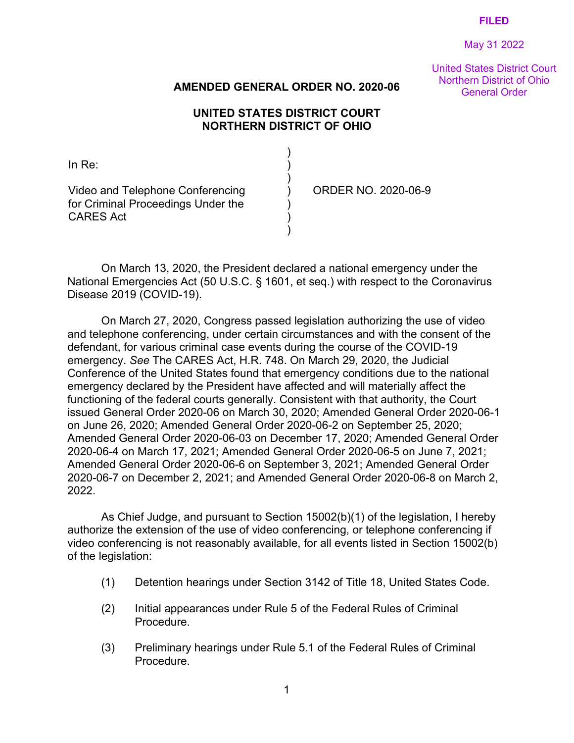May 31 2022

United States District Court Northern District of Ohio

## General Order **AMENDED GENERAL ORDER NO. 2020-06**

## **UNITED STATES DISTRICT COURT NORTHERN DISTRICT OF OHIO**

| ∃n Re∸                                                                                     |                     |
|--------------------------------------------------------------------------------------------|---------------------|
| Video and Telephone Conferencing<br>for Criminal Proceedings Under the<br><b>CARES Act</b> | ORDER NO. 2020-06-9 |

On March 13, 2020, the President declared a national emergency under the National Emergencies Act (50 U.S.C. § 1601, et seq.) with respect to the Coronavirus Disease 2019 (COVID-19).

On March 27, 2020, Congress passed legislation authorizing the use of video and telephone conferencing, under certain circumstances and with the consent of the defendant, for various criminal case events during the course of the COVID-19 emergency. *See* The CARES Act, H.R. 748. On March 29, 2020, the Judicial Conference of the United States found that emergency conditions due to the national emergency declared by the President have affected and will materially affect the functioning of the federal courts generally. Consistent with that authority, the Court issued General Order 2020-06 on March 30, 2020; Amended General Order 2020-06-1 on June 26, 2020; Amended General Order 2020-06-2 on September 25, 2020; Amended General Order 2020-06-03 on December 17, 2020; Amended General Order 2020-06-4 on March 17, 2021; Amended General Order 2020-06-5 on June 7, 2021; Amended General Order 2020-06-6 on September 3, 2021; Amended General Order 2020-06-7 on December 2, 2021; and Amended General Order 2020-06-8 on March 2, 2022.

As Chief Judge, and pursuant to Section 15002(b)(1) of the legislation, I hereby authorize the extension of the use of video conferencing, or telephone conferencing if video conferencing is not reasonably available, for all events listed in Section 15002(b) of the legislation:

- (1) Detention hearings under Section 3142 of Title 18, United States Code.
- (2) Initial appearances under Rule 5 of the Federal Rules of Criminal Procedure.
- (3) Preliminary hearings under Rule 5.1 of the Federal Rules of Criminal Procedure.